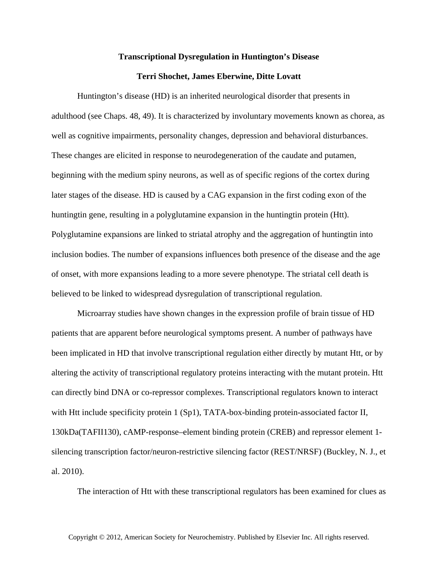## **Transcriptional Dysregulation in Huntington's Disease**

## **Terri Shochet, James Eberwine, Ditte Lovatt**

Huntington's disease (HD) is an inherited neurological disorder that presents in adulthood (see Chaps. 48, 49). It is characterized by involuntary movements known as chorea, as well as cognitive impairments, personality changes, depression and behavioral disturbances. These changes are elicited in response to neurodegeneration of the caudate and putamen, beginning with the medium spiny neurons, as well as of specific regions of the cortex during later stages of the disease. HD is caused by a CAG expansion in the first coding exon of the huntingtin gene, resulting in a polyglutamine expansion in the huntingtin protein (Htt). Polyglutamine expansions are linked to striatal atrophy and the aggregation of huntingtin into inclusion bodies. The number of expansions influences both presence of the disease and the age of onset, with more expansions leading to a more severe phenotype. The striatal cell death is believed to be linked to widespread dysregulation of transcriptional regulation.

Microarray studies have shown changes in the expression profile of brain tissue of HD patients that are apparent before neurological symptoms present. A number of pathways have been implicated in HD that involve transcriptional regulation either directly by mutant Htt, or by altering the activity of transcriptional regulatory proteins interacting with the mutant protein. Htt can directly bind DNA or co-repressor complexes. Transcriptional regulators known to interact with Htt include specificity protein 1 (Sp1), TATA-box-binding protein-associated factor II, 130kDa(TAFII130), cAMP-response–element binding protein (CREB) and repressor element 1 silencing transcription factor/neuron-restrictive silencing factor (REST/NRSF) (Buckley, N. J., et al. 2010).

The interaction of Htt with these transcriptional regulators has been examined for clues as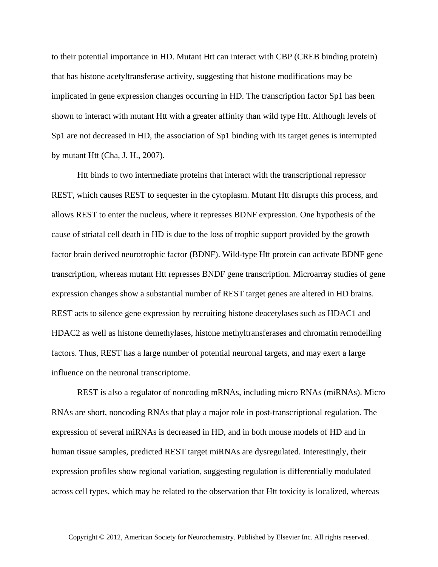to their potential importance in HD. Mutant Htt can interact with CBP (CREB binding protein) that has histone acetyltransferase activity, suggesting that histone modifications may be implicated in gene expression changes occurring in HD. The transcription factor Sp1 has been shown to interact with mutant Htt with a greater affinity than wild type Htt. Although levels of Sp1 are not decreased in HD, the association of Sp1 binding with its target genes is interrupted by mutant Htt (Cha, J. H., 2007).

Htt binds to two intermediate proteins that interact with the transcriptional repressor REST, which causes REST to sequester in the cytoplasm. Mutant Htt disrupts this process, and allows REST to enter the nucleus, where it represses BDNF expression. One hypothesis of the cause of striatal cell death in HD is due to the loss of trophic support provided by the growth factor brain derived neurotrophic factor (BDNF). Wild-type Htt protein can activate BDNF gene transcription, whereas mutant Htt represses BNDF gene transcription. Microarray studies of gene expression changes show a substantial number of REST target genes are altered in HD brains. REST acts to silence gene expression by recruiting histone deacetylases such as HDAC1 and HDAC2 as well as histone demethylases, histone methyltransferases and chromatin remodelling factors. Thus, REST has a large number of potential neuronal targets, and may exert a large influence on the neuronal transcriptome.

REST is also a regulator of noncoding mRNAs, including micro RNAs (miRNAs). Micro RNAs are short, noncoding RNAs that play a major role in post-transcriptional regulation. The expression of several miRNAs is decreased in HD, and in both mouse models of HD and in human tissue samples, predicted REST target miRNAs are dysregulated. Interestingly, their expression profiles show regional variation, suggesting regulation is differentially modulated across cell types, which may be related to the observation that Htt toxicity is localized, whereas